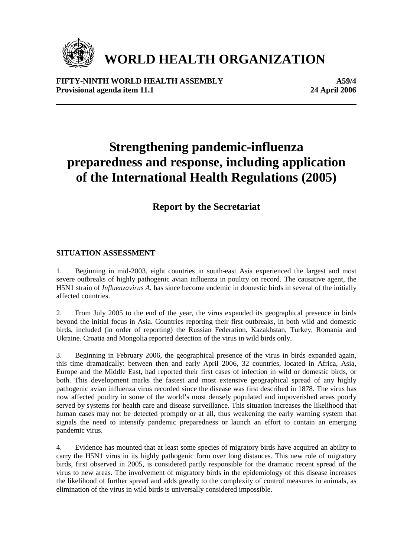

# **WORLD HEALTH ORGANIZATION**

**FIFTY-NINTH WORLD HEALTH ASSEMBLY A59/4** Provisional agenda item 11.1 2006

## **Strengthening pandemic-influenza preparedness and response, including application of the International Health Regulations (2005)**

### **Report by the Secretariat**

#### **SITUATION ASSESSMENT**

1. Beginning in mid-2003, eight countries in south-east Asia experienced the largest and most severe outbreaks of highly pathogenic avian influenza in poultry on record. The causative agent, the H5N1 strain of *Influenzavirus A*, has since become endemic in domestic birds in several of the initially affected countries.

2. From July 2005 to the end of the year, the virus expanded its geographical presence in birds beyond the initial focus in Asia. Countries reporting their first outbreaks, in both wild and domestic birds, included (in order of reporting) the Russian Federation, Kazakhstan, Turkey, Romania and Ukraine. Croatia and Mongolia reported detection of the virus in wild birds only.

3. Beginning in February 2006, the geographical presence of the virus in birds expanded again, this time dramatically: between then and early April 2006, 32 countries, located in Africa, Asia, Europe and the Middle East, had reported their first cases of infection in wild or domestic birds, or both. This development marks the fastest and most extensive geographical spread of any highly pathogenic avian influenza virus recorded since the disease was first described in 1878. The virus has now affected poultry in some of the world's most densely populated and impoverished areas poorly served by systems for health care and disease surveillance. This situation increases the likelihood that human cases may not be detected promptly or at all, thus weakening the early warning system that signals the need to intensify pandemic preparedness or launch an effort to contain an emerging pandemic virus.

4. Evidence has mounted that at least some species of migratory birds have acquired an ability to carry the H5N1 virus in its highly pathogenic form over long distances. This new role of migratory birds, first observed in 2005, is considered partly responsible for the dramatic recent spread of the virus to new areas. The involvement of migratory birds in the epidemiology of this disease increases the likelihood of further spread and adds greatly to the complexity of control measures in animals, as elimination of the virus in wild birds is universally considered impossible.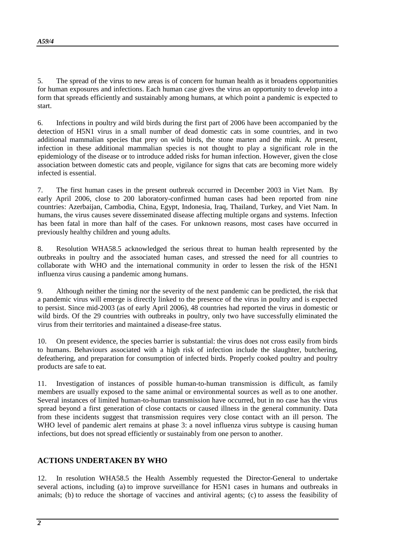5. The spread of the virus to new areas is of concern for human health as it broadens opportunities for human exposures and infections. Each human case gives the virus an opportunity to develop into a form that spreads efficiently and sustainably among humans, at which point a pandemic is expected to start.

6. Infections in poultry and wild birds during the first part of 2006 have been accompanied by the detection of H5N1 virus in a small number of dead domestic cats in some countries, and in two additional mammalian species that prey on wild birds, the stone marten and the mink. At present, infection in these additional mammalian species is not thought to play a significant role in the epidemiology of the disease or to introduce added risks for human infection. However, given the close association between domestic cats and people, vigilance for signs that cats are becoming more widely infected is essential.

7. The first human cases in the present outbreak occurred in December 2003 in Viet Nam. By early April 2006, close to 200 laboratory-confirmed human cases had been reported from nine countries: Azerbaijan, Cambodia, China, Egypt, Indonesia, Iraq, Thailand, Turkey, and Viet Nam. In humans, the virus causes severe disseminated disease affecting multiple organs and systems. Infection has been fatal in more than half of the cases. For unknown reasons, most cases have occurred in previously healthy children and young adults.

8. Resolution WHA58.5 acknowledged the serious threat to human health represented by the outbreaks in poultry and the associated human cases, and stressed the need for all countries to collaborate with WHO and the international community in order to lessen the risk of the H5N1 influenza virus causing a pandemic among humans.

9. Although neither the timing nor the severity of the next pandemic can be predicted, the risk that a pandemic virus will emerge is directly linked to the presence of the virus in poultry and is expected to persist. Since mid-2003 (as of early April 2006), 48 countries had reported the virus in domestic or wild birds. Of the 29 countries with outbreaks in poultry, only two have successfully eliminated the virus from their territories and maintained a disease-free status.

10. On present evidence, the species barrier is substantial: the virus does not cross easily from birds to humans. Behaviours associated with a high risk of infection include the slaughter, butchering, defeathering, and preparation for consumption of infected birds. Properly cooked poultry and poultry products are safe to eat.

11. Investigation of instances of possible human-to-human transmission is difficult, as family members are usually exposed to the same animal or environmental sources as well as to one another. Several instances of limited human-to-human transmission have occurred, but in no case has the virus spread beyond a first generation of close contacts or caused illness in the general community. Data from these incidents suggest that transmission requires very close contact with an ill person. The WHO level of pandemic alert remains at phase 3: a novel influenza virus subtype is causing human infections, but does not spread efficiently or sustainably from one person to another.

#### **ACTIONS UNDERTAKEN BY WHO**

12. In resolution WHA58.5 the Health Assembly requested the Director-General to undertake several actions, including (a) to improve surveillance for H5N1 cases in humans and outbreaks in animals; (b) to reduce the shortage of vaccines and antiviral agents; (c) to assess the feasibility of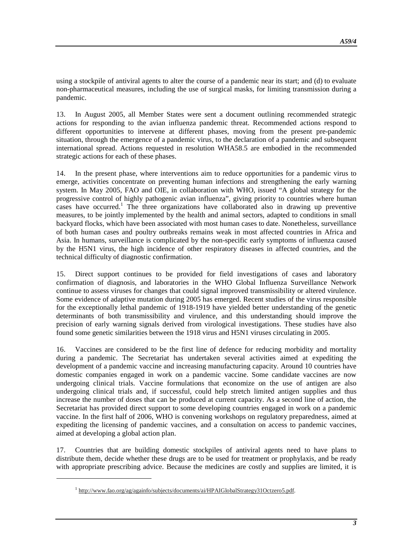using a stockpile of antiviral agents to alter the course of a pandemic near its start; and (d) to evaluate non-pharmaceutical measures, including the use of surgical masks, for limiting transmission during a pandemic.

13. In August 2005, all Member States were sent a document outlining recommended strategic actions for responding to the avian influenza pandemic threat. Recommended actions respond to different opportunities to intervene at different phases, moving from the present pre-pandemic situation, through the emergence of a pandemic virus, to the declaration of a pandemic and subsequent international spread. Actions requested in resolution WHA58.5 are embodied in the recommended strategic actions for each of these phases.

14. In the present phase, where interventions aim to reduce opportunities for a pandemic virus to emerge, activities concentrate on preventing human infections and strengthening the early warning system. In May 2005, FAO and OIE, in collaboration with WHO, issued "A global strategy for the progressive control of highly pathogenic avian influenza", giving priority to countries where human cases have occurred.<sup>1</sup> The three organizations have collaborated also in drawing up preventive measures, to be jointly implemented by the health and animal sectors, adapted to conditions in small backyard flocks, which have been associated with most human cases to date. Nonetheless, surveillance of both human cases and poultry outbreaks remains weak in most affected countries in Africa and Asia. In humans, surveillance is complicated by the non-specific early symptoms of influenza caused by the H5N1 virus, the high incidence of other respiratory diseases in affected countries, and the technical difficulty of diagnostic confirmation.

15. Direct support continues to be provided for field investigations of cases and laboratory confirmation of diagnosis, and laboratories in the WHO Global Influenza Surveillance Network continue to assess viruses for changes that could signal improved transmissibility or altered virulence. Some evidence of adaptive mutation during 2005 has emerged. Recent studies of the virus responsible for the exceptionally lethal pandemic of 1918-1919 have yielded better understanding of the genetic determinants of both transmissibility and virulence, and this understanding should improve the precision of early warning signals derived from virological investigations. These studies have also found some genetic similarities between the 1918 virus and H5N1 viruses circulating in 2005.

16. Vaccines are considered to be the first line of defence for reducing morbidity and mortality during a pandemic. The Secretariat has undertaken several activities aimed at expediting the development of a pandemic vaccine and increasing manufacturing capacity. Around 10 countries have domestic companies engaged in work on a pandemic vaccine. Some candidate vaccines are now undergoing clinical trials. Vaccine formulations that economize on the use of antigen are also undergoing clinical trials and, if successful, could help stretch limited antigen supplies and thus increase the number of doses that can be produced at current capacity. As a second line of action, the Secretariat has provided direct support to some developing countries engaged in work on a pandemic vaccine. In the first half of 2006, WHO is convening workshops on regulatory preparedness, aimed at expediting the licensing of pandemic vaccines, and a consultation on access to pandemic vaccines, aimed at developing a global action plan.

17. Countries that are building domestic stockpiles of antiviral agents need to have plans to distribute them, decide whether these drugs are to be used for treatment or prophylaxis, and be ready with appropriate prescribing advice. Because the medicines are costly and supplies are limited, it is

<u>.</u>

<sup>&</sup>lt;sup>1</sup> http://www.fao.org/ag/againfo/subjects/documents/ai/HPAIGlobalStrategy31Octzero5.pdf.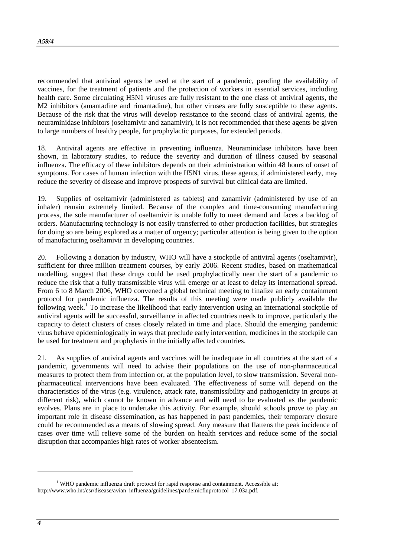recommended that antiviral agents be used at the start of a pandemic, pending the availability of vaccines, for the treatment of patients and the protection of workers in essential services, including health care. Some circulating H5N1 viruses are fully resistant to the one class of antiviral agents, the M2 inhibitors (amantadine and rimantadine), but other viruses are fully susceptible to these agents. Because of the risk that the virus will develop resistance to the second class of antiviral agents, the neuraminidase inhibitors (oseltamivir and zanamivir), it is not recommended that these agents be given to large numbers of healthy people, for prophylactic purposes, for extended periods.

18. Antiviral agents are effective in preventing influenza. Neuraminidase inhibitors have been shown, in laboratory studies, to reduce the severity and duration of illness caused by seasonal influenza. The efficacy of these inhibitors depends on their administration within 48 hours of onset of symptoms. For cases of human infection with the H5N1 virus, these agents, if administered early, may reduce the severity of disease and improve prospects of survival but clinical data are limited.

19. Supplies of oseltamivir (administered as tablets) and zanamivir (administered by use of an inhaler) remain extremely limited. Because of the complex and time-consuming manufacturing process, the sole manufacturer of oseltamivir is unable fully to meet demand and faces a backlog of orders. Manufacturing technology is not easily transferred to other production facilities, but strategies for doing so are being explored as a matter of urgency; particular attention is being given to the option of manufacturing oseltamivir in developing countries.

20. Following a donation by industry, WHO will have a stockpile of antiviral agents (oseltamivir), sufficient for three million treatment courses, by early 2006. Recent studies, based on mathematical modelling, suggest that these drugs could be used prophylactically near the start of a pandemic to reduce the risk that a fully transmissible virus will emerge or at least to delay its international spread. From 6 to 8 March 2006, WHO convened a global technical meeting to finalize an early containment protocol for pandemic influenza. The results of this meeting were made publicly available the following week.<sup>1</sup> To increase the likelihood that early intervention using an international stockpile of antiviral agents will be successful, surveillance in affected countries needs to improve, particularly the capacity to detect clusters of cases closely related in time and place. Should the emerging pandemic virus behave epidemiologically in ways that preclude early intervention, medicines in the stockpile can be used for treatment and prophylaxis in the initially affected countries.

21. As supplies of antiviral agents and vaccines will be inadequate in all countries at the start of a pandemic, governments will need to advise their populations on the use of non-pharmaceutical measures to protect them from infection or, at the population level, to slow transmission. Several nonpharmaceutical interventions have been evaluated. The effectiveness of some will depend on the characteristics of the virus (e.g. virulence, attack rate, transmissibility and pathogenicity in groups at different risk), which cannot be known in advance and will need to be evaluated as the pandemic evolves. Plans are in place to undertake this activity. For example, should schools prove to play an important role in disease dissemination, as has happened in past pandemics, their temporary closure could be recommended as a means of slowing spread. Any measure that flattens the peak incidence of cases over time will relieve some of the burden on health services and reduce some of the social disruption that accompanies high rates of worker absenteeism.

 $\overline{a}$ 

<sup>&</sup>lt;sup>1</sup> WHO pandemic influenza draft protocol for rapid response and containment. Accessible at: http://www.who.int/csr/disease/avian\_influenza/guidelines/pandemicfluprotocol\_17.03a.pdf.